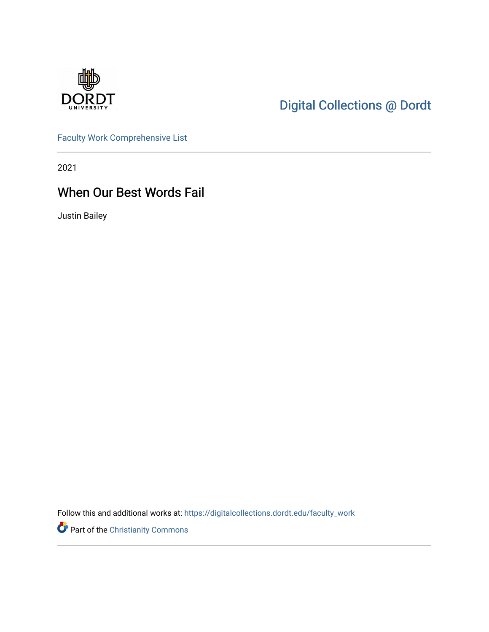

## [Digital Collections @ Dordt](https://digitalcollections.dordt.edu/)

[Faculty Work Comprehensive List](https://digitalcollections.dordt.edu/faculty_work)

2021

## When Our Best Words Fail

Justin Bailey

Follow this and additional works at: [https://digitalcollections.dordt.edu/faculty\\_work](https://digitalcollections.dordt.edu/faculty_work?utm_source=digitalcollections.dordt.edu%2Ffaculty_work%2F1331&utm_medium=PDF&utm_campaign=PDFCoverPages) 

Part of the [Christianity Commons](http://network.bepress.com/hgg/discipline/1181?utm_source=digitalcollections.dordt.edu%2Ffaculty_work%2F1331&utm_medium=PDF&utm_campaign=PDFCoverPages)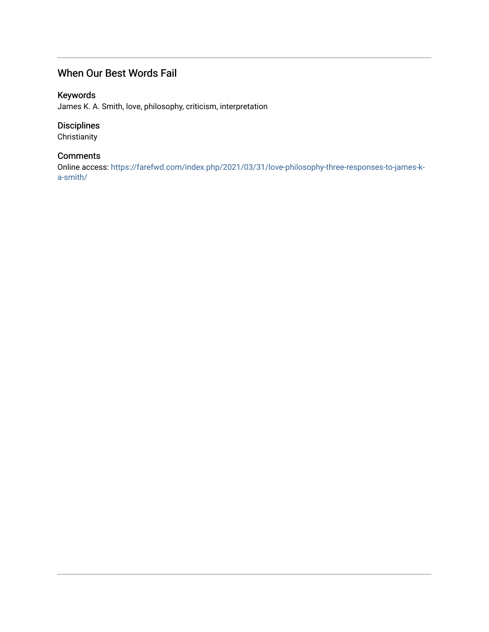### When Our Best Words Fail

#### Keywords

James K. A. Smith, love, philosophy, criticism, interpretation

#### Disciplines

**Christianity** 

#### **Comments**

Online access: [https://farefwd.com/index.php/2021/03/31/love-philosophy-three-responses-to-james-k](https://farefwd.com/index.php/2021/03/31/love-philosophy-three-responses-to-james-k-a-smith/)[a-smith/](https://farefwd.com/index.php/2021/03/31/love-philosophy-three-responses-to-james-k-a-smith/)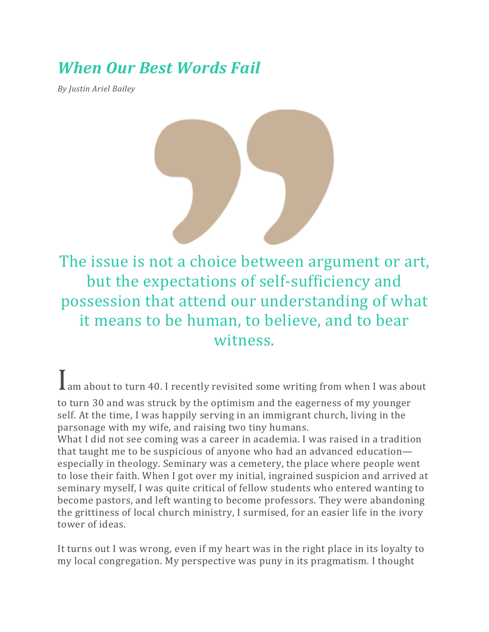# *When Our Best Words Fail*

*By Justin Ariel Bailey*



The issue is not a choice between argument or art, but the expectations of self-sufficiency and possession that attend our understanding of what it means to be human, to believe, and to bear witness.

Iam about to turn 40. I recently revisited some writing from when I was about

to turn 30 and was struck by the optimism and the eagerness of my younger self. At the time, I was happily serving in an immigrant church, living in the parsonage with my wife, and raising two tiny humans.

What I did not see coming was a career in academia. I was raised in a tradition that taught me to be suspicious of anyone who had an advanced education especially in theology. Seminary was a cemetery, the place where people went to lose their faith. When I got over my initial, ingrained suspicion and arrived at seminary myself, I was quite critical of fellow students who entered wanting to become pastors, and left wanting to become professors. They were abandoning the grittiness of local church ministry, I surmised, for an easier life in the ivory tower of ideas.

It turns out I was wrong, even if my heart was in the right place in its loyalty to my local congregation. My perspective was puny in its pragmatism. I thought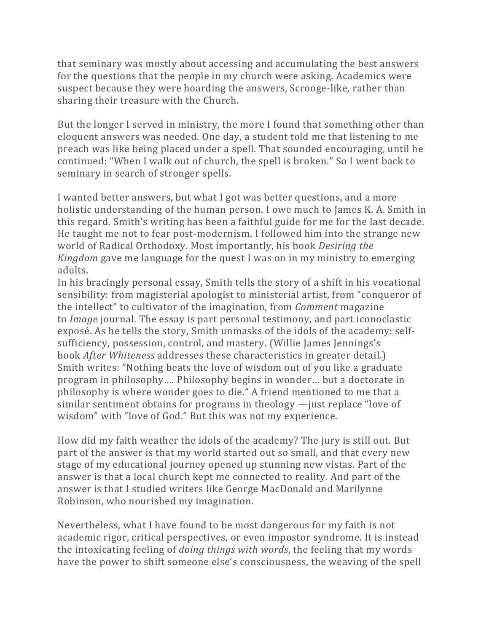that seminary was mostly about accessing and accumulating the best answers for the questions that the people in my church were asking. Academics were suspect because they were hoarding the answers, Scrooge-like, rather than sharing their treasure with the Church.

But the longer I served in ministry, the more I found that something other than eloquent answers was needed. One day, a student told me that listening to me preach was like being placed under a spell. That sounded encouraging, until he continued: "When I walk out of church, the spell is broken." So I went back to seminary in search of stronger spells.

I wanted better answers, but what I got was better questions, and a more holistic understanding of the human person. I owe much to James K. A. Smith in this regard. Smith's writing has been a faithful guide for me for the last decade. He taught me not to fear post-modernism. I followed him into the strange new world of Radical Orthodoxy. Most importantly, his book *Desiring the Kingdom* gave me language for the quest I was on in my ministry to emerging adults.

In his bracingly personal essay, Smith tells the story of a shift in his vocational sensibility: from magisterial apologist to ministerial artist, from "conqueror of the intellect" to cultivator of the imagination, from *Comment* magazine to *Image* journal. The essay is part personal testimony, and part iconoclastic exposé. As he tells the story, Smith unmasks of the idols of the academy: selfsufficiency, possession, control, and mastery. (Willie James Jennings's book *After Whiteness* addresses these characteristics in greater detail.) Smith writes: "Nothing beats the love of wisdom out of you like a graduate program in philosophy…. Philosophy begins in wonder… but a doctorate in philosophy is where wonder goes to die." A friend mentioned to me that a similar sentiment obtains for programs in theology —just replace "love of wisdom" with "love of God." But this was not my experience.

How did my faith weather the idols of the academy? The jury is still out. But part of the answer is that my world started out so small, and that every new stage of my educational journey opened up stunning new vistas. Part of the answer is that a local church kept me connected to reality. And part of the answer is that I studied writers like George MacDonald and Marilynne Robinson, who nourished my imagination.

Nevertheless, what I have found to be most dangerous for my faith is not academic rigor, critical perspectives, or even impostor syndrome. It is instead the intoxicating feeling of *doing things with words*, the feeling that my words have the power to shift someone else's consciousness, the weaving of the spell